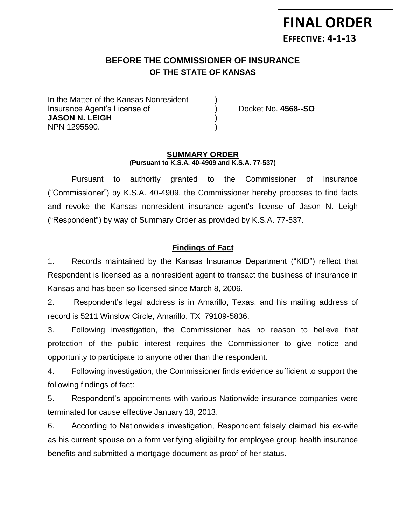# **BEFORE THE COMMISSIONER OF INSURANCE** *-12***OF THE STATE OF KANSAS**

In the Matter of the Kansas Nonresident Insurance Agent's License of ) Docket No. **4568--SO JASON N. LEIGH** ) NPN 1295590. )

**FINAL ORDER**

**EFFECTIVE: 4-1-13**

#### **SUMMARY ORDER (Pursuant to K.S.A. 40-4909 and K.S.A. 77-537)**

Pursuant to authority granted to the Commissioner of Insurance ("Commissioner") by K.S.A. 40-4909, the Commissioner hereby proposes to find facts and revoke the Kansas nonresident insurance agent's license of Jason N. Leigh ("Respondent") by way of Summary Order as provided by K.S.A. 77-537.

## **Findings of Fact**

1. Records maintained by the Kansas Insurance Department ("KID") reflect that Respondent is licensed as a nonresident agent to transact the business of insurance in Kansas and has been so licensed since March 8, 2006.

2. Respondent's legal address is in Amarillo, Texas, and his mailing address of record is 5211 Winslow Circle, Amarillo, TX 79109-5836.

3. Following investigation, the Commissioner has no reason to believe that protection of the public interest requires the Commissioner to give notice and opportunity to participate to anyone other than the respondent.

4. Following investigation, the Commissioner finds evidence sufficient to support the following findings of fact:

5. Respondent's appointments with various Nationwide insurance companies were terminated for cause effective January 18, 2013.

6. According to Nationwide's investigation, Respondent falsely claimed his ex-wife as his current spouse on a form verifying eligibility for employee group health insurance benefits and submitted a mortgage document as proof of her status.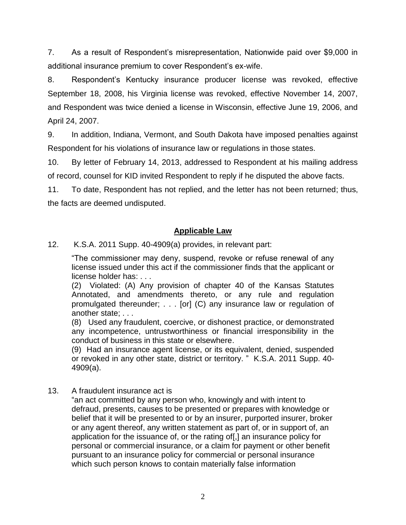7. As a result of Respondent's misrepresentation, Nationwide paid over \$9,000 in additional insurance premium to cover Respondent's ex-wife.

8. Respondent's Kentucky insurance producer license was revoked, effective September 18, 2008, his Virginia license was revoked, effective November 14, 2007, and Respondent was twice denied a license in Wisconsin, effective June 19, 2006, and April 24, 2007.

9. In addition, Indiana, Vermont, and South Dakota have imposed penalties against Respondent for his violations of insurance law or regulations in those states.

10. By letter of February 14, 2013, addressed to Respondent at his mailing address of record, counsel for KID invited Respondent to reply if he disputed the above facts.

11. To date, Respondent has not replied, and the letter has not been returned; thus, the facts are deemed undisputed.

## **Applicable Law**

12. K.S.A. 2011 Supp. 40-4909(a) provides, in relevant part:

"The commissioner may deny, suspend, revoke or refuse renewal of any license issued under this act if the commissioner finds that the applicant or license holder has: . . .

(2) Violated: (A) Any provision of chapter 40 of the Kansas Statutes Annotated, and amendments thereto, or any rule and regulation promulgated thereunder; . . . [or] (C) any insurance law or regulation of another state; . . .

(8) Used any fraudulent, coercive, or dishonest practice, or demonstrated any incompetence, untrustworthiness or financial irresponsibility in the conduct of business in this state or elsewhere.

(9) Had an insurance agent license, or its equivalent, denied, suspended or revoked in any other state, district or territory. " K.S.A. 2011 Supp. 40- 4909(a).

13. A fraudulent insurance act is

"an act committed by any person who, knowingly and with intent to defraud, presents, causes to be presented or prepares with knowledge or belief that it will be presented to or by an insurer, purported insurer, broker or any agent thereof, any written statement as part of, or in support of, an application for the issuance of, or the rating of[,] an insurance policy for personal or commercial insurance, or a claim for payment or other benefit pursuant to an insurance policy for commercial or personal insurance which such person knows to contain materially false information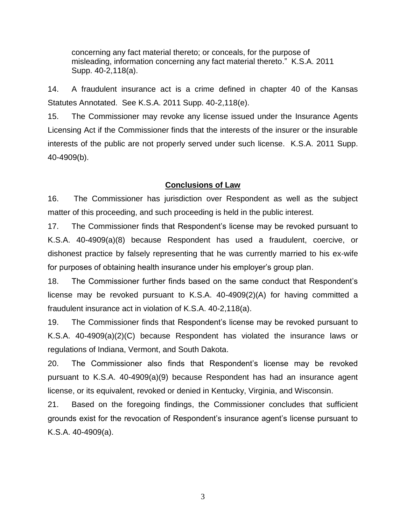concerning any fact material thereto; or conceals, for the purpose of misleading, information concerning any fact material thereto." K.S.A. 2011 Supp. 40-2,118(a).

14. A fraudulent insurance act is a crime defined in chapter 40 of the Kansas Statutes Annotated. See K.S.A. 2011 Supp. 40-2,118(e).

15. The Commissioner may revoke any license issued under the Insurance Agents Licensing Act if the Commissioner finds that the interests of the insurer or the insurable interests of the public are not properly served under such license. K.S.A. 2011 Supp. 40-4909(b).

### **Conclusions of Law**

16. The Commissioner has jurisdiction over Respondent as well as the subject matter of this proceeding, and such proceeding is held in the public interest.

17. The Commissioner finds that Respondent's license may be revoked pursuant to K.S.A. 40-4909(a)(8) because Respondent has used a fraudulent, coercive, or dishonest practice by falsely representing that he was currently married to his ex-wife for purposes of obtaining health insurance under his employer's group plan.

18. The Commissioner further finds based on the same conduct that Respondent's license may be revoked pursuant to K.S.A. 40-4909(2)(A) for having committed a fraudulent insurance act in violation of K.S.A. 40-2,118(a).

19. The Commissioner finds that Respondent's license may be revoked pursuant to K.S.A. 40-4909(a)(2)(C) because Respondent has violated the insurance laws or regulations of Indiana, Vermont, and South Dakota.

20. The Commissioner also finds that Respondent's license may be revoked pursuant to K.S.A. 40-4909(a)(9) because Respondent has had an insurance agent license, or its equivalent, revoked or denied in Kentucky, Virginia, and Wisconsin.

21. Based on the foregoing findings, the Commissioner concludes that sufficient grounds exist for the revocation of Respondent's insurance agent's license pursuant to K.S.A. 40-4909(a).

3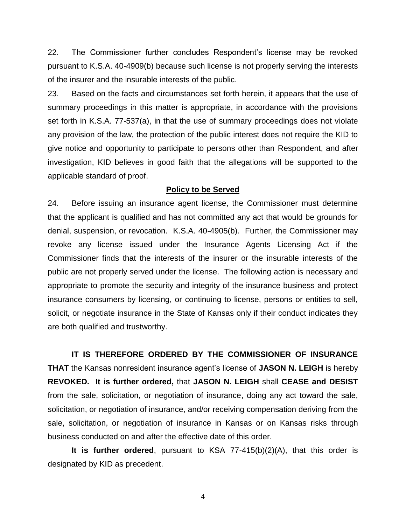22. The Commissioner further concludes Respondent's license may be revoked pursuant to K.S.A. 40-4909(b) because such license is not properly serving the interests of the insurer and the insurable interests of the public.

23. Based on the facts and circumstances set forth herein, it appears that the use of summary proceedings in this matter is appropriate, in accordance with the provisions set forth in K.S.A. 77-537(a), in that the use of summary proceedings does not violate any provision of the law, the protection of the public interest does not require the KID to give notice and opportunity to participate to persons other than Respondent, and after investigation, KID believes in good faith that the allegations will be supported to the applicable standard of proof.

### **Policy to be Served**

24. Before issuing an insurance agent license, the Commissioner must determine that the applicant is qualified and has not committed any act that would be grounds for denial, suspension, or revocation. K.S.A. 40-4905(b). Further, the Commissioner may revoke any license issued under the Insurance Agents Licensing Act if the Commissioner finds that the interests of the insurer or the insurable interests of the public are not properly served under the license. The following action is necessary and appropriate to promote the security and integrity of the insurance business and protect insurance consumers by licensing, or continuing to license, persons or entities to sell, solicit, or negotiate insurance in the State of Kansas only if their conduct indicates they are both qualified and trustworthy.

**IT IS THEREFORE ORDERED BY THE COMMISSIONER OF INSURANCE THAT** the Kansas nonresident insurance agent's license of **JASON N. LEIGH** is hereby **REVOKED. It is further ordered,** that **JASON N. LEIGH** shall **CEASE and DESIST** from the sale, solicitation, or negotiation of insurance, doing any act toward the sale, solicitation, or negotiation of insurance, and/or receiving compensation deriving from the sale, solicitation, or negotiation of insurance in Kansas or on Kansas risks through business conducted on and after the effective date of this order.

**It is further ordered**, pursuant to KSA 77-415(b)(2)(A), that this order is designated by KID as precedent.

4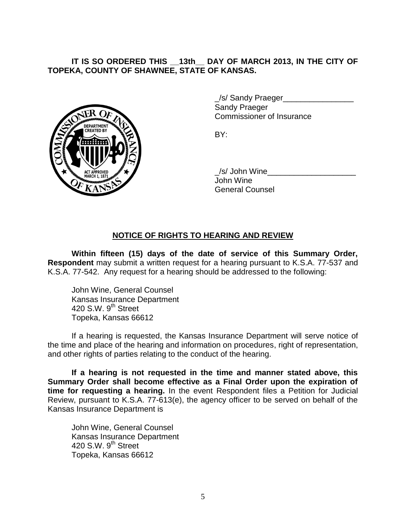**IT IS SO ORDERED THIS \_\_13th\_\_ DAY OF MARCH 2013, IN THE CITY OF TOPEKA, COUNTY OF SHAWNEE, STATE OF KANSAS.**



\_/s/ Sandy Praeger\_\_\_\_\_\_\_\_\_\_\_\_\_\_\_\_ Sandy Praeger Commissioner of Insurance

BY:

\_/s/ John Wine\_\_\_\_\_\_\_\_\_\_\_\_\_\_\_\_\_\_\_\_ John Wine General Counsel

## **NOTICE OF RIGHTS TO HEARING AND REVIEW**

**Within fifteen (15) days of the date of service of this Summary Order, Respondent** may submit a written request for a hearing pursuant to K.S.A. 77-537 and K.S.A. 77-542. Any request for a hearing should be addressed to the following:

John Wine, General Counsel Kansas Insurance Department 420 S.W. 9<sup>th</sup> Street Topeka, Kansas 66612

If a hearing is requested, the Kansas Insurance Department will serve notice of the time and place of the hearing and information on procedures, right of representation, and other rights of parties relating to the conduct of the hearing.

**If a hearing is not requested in the time and manner stated above, this Summary Order shall become effective as a Final Order upon the expiration of time for requesting a hearing.** In the event Respondent files a Petition for Judicial Review, pursuant to K.S.A. 77-613(e), the agency officer to be served on behalf of the Kansas Insurance Department is

John Wine, General Counsel Kansas Insurance Department 420 S.W.  $9<sup>th</sup>$  Street Topeka, Kansas 66612